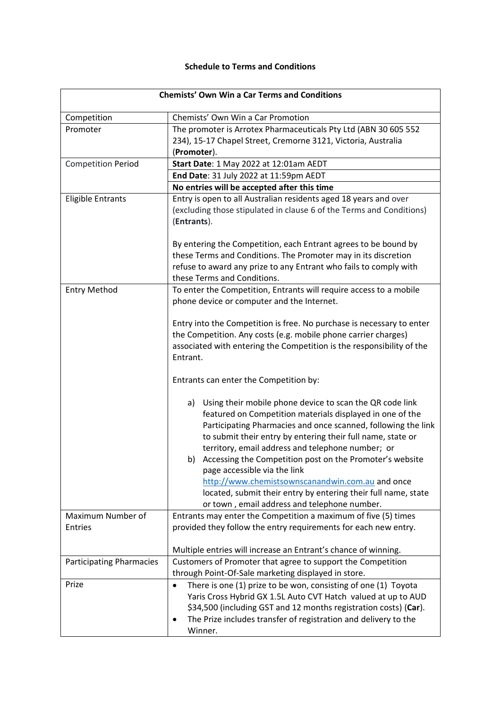## **Schedule to Terms and Conditions**

| <b>Chemists' Own Win a Car Terms and Conditions</b> |                                                                             |
|-----------------------------------------------------|-----------------------------------------------------------------------------|
| Competition                                         | Chemists' Own Win a Car Promotion                                           |
| Promoter                                            | The promoter is Arrotex Pharmaceuticals Pty Ltd (ABN 30 605 552             |
|                                                     | 234), 15-17 Chapel Street, Cremorne 3121, Victoria, Australia               |
|                                                     | (Promoter).                                                                 |
| <b>Competition Period</b>                           | Start Date: 1 May 2022 at 12:01am AEDT                                      |
|                                                     | End Date: 31 July 2022 at 11:59pm AEDT                                      |
|                                                     | No entries will be accepted after this time                                 |
| <b>Eligible Entrants</b>                            | Entry is open to all Australian residents aged 18 years and over            |
|                                                     | (excluding those stipulated in clause 6 of the Terms and Conditions)        |
|                                                     | (Entrants).                                                                 |
|                                                     |                                                                             |
|                                                     | By entering the Competition, each Entrant agrees to be bound by             |
|                                                     | these Terms and Conditions. The Promoter may in its discretion              |
|                                                     | refuse to award any prize to any Entrant who fails to comply with           |
|                                                     | these Terms and Conditions.                                                 |
| <b>Entry Method</b>                                 | To enter the Competition, Entrants will require access to a mobile          |
|                                                     | phone device or computer and the Internet.                                  |
|                                                     |                                                                             |
|                                                     | Entry into the Competition is free. No purchase is necessary to enter       |
|                                                     | the Competition. Any costs (e.g. mobile phone carrier charges)              |
|                                                     | associated with entering the Competition is the responsibility of the       |
|                                                     | Entrant.                                                                    |
|                                                     | Entrants can enter the Competition by:                                      |
|                                                     | Using their mobile phone device to scan the QR code link<br>a)              |
|                                                     | featured on Competition materials displayed in one of the                   |
|                                                     | Participating Pharmacies and once scanned, following the link               |
|                                                     | to submit their entry by entering their full name, state or                 |
|                                                     | territory, email address and telephone number; or                           |
|                                                     | b) Accessing the Competition post on the Promoter's website                 |
|                                                     | page accessible via the link                                                |
|                                                     | http://www.chemistsownscanandwin.com.au and once                            |
|                                                     | located, submit their entry by entering their full name, state              |
|                                                     | or town, email address and telephone number.                                |
| Maximum Number of                                   | Entrants may enter the Competition a maximum of five (5) times              |
| <b>Entries</b>                                      | provided they follow the entry requirements for each new entry.             |
|                                                     |                                                                             |
|                                                     | Multiple entries will increase an Entrant's chance of winning.              |
| <b>Participating Pharmacies</b>                     | Customers of Promoter that agree to support the Competition                 |
|                                                     | through Point-Of-Sale marketing displayed in store.                         |
| Prize                                               | There is one (1) prize to be won, consisting of one (1) Toyota<br>$\bullet$ |
|                                                     | Yaris Cross Hybrid GX 1.5L Auto CVT Hatch valued at up to AUD               |
|                                                     | \$34,500 (including GST and 12 months registration costs) (Car).            |
|                                                     | The Prize includes transfer of registration and delivery to the             |
|                                                     | Winner.                                                                     |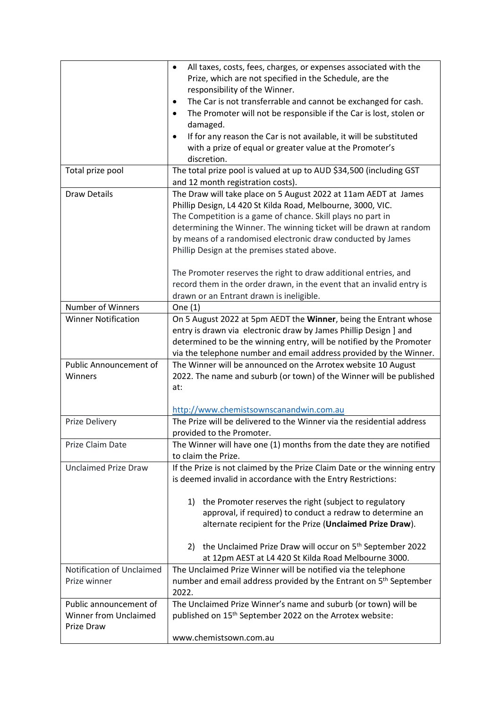|                                           | All taxes, costs, fees, charges, or expenses associated with the<br>$\bullet$                                                              |
|-------------------------------------------|--------------------------------------------------------------------------------------------------------------------------------------------|
|                                           | Prize, which are not specified in the Schedule, are the                                                                                    |
|                                           | responsibility of the Winner.                                                                                                              |
|                                           | The Car is not transferrable and cannot be exchanged for cash.<br>$\bullet$                                                                |
|                                           | The Promoter will not be responsible if the Car is lost, stolen or<br>$\bullet$<br>damaged.                                                |
|                                           | If for any reason the Car is not available, it will be substituted                                                                         |
|                                           | with a prize of equal or greater value at the Promoter's                                                                                   |
|                                           | discretion.                                                                                                                                |
| Total prize pool                          | The total prize pool is valued at up to AUD \$34,500 (including GST<br>and 12 month registration costs).                                   |
| <b>Draw Details</b>                       | The Draw will take place on 5 August 2022 at 11am AEDT at James                                                                            |
|                                           | Phillip Design, L4 420 St Kilda Road, Melbourne, 3000, VIC.                                                                                |
|                                           | The Competition is a game of chance. Skill plays no part in<br>determining the Winner. The winning ticket will be drawn at random          |
|                                           | by means of a randomised electronic draw conducted by James                                                                                |
|                                           | Phillip Design at the premises stated above.                                                                                               |
|                                           |                                                                                                                                            |
|                                           | The Promoter reserves the right to draw additional entries, and                                                                            |
|                                           | record them in the order drawn, in the event that an invalid entry is                                                                      |
|                                           | drawn or an Entrant drawn is ineligible.                                                                                                   |
| <b>Number of Winners</b>                  | One (1)                                                                                                                                    |
| <b>Winner Notification</b>                | On 5 August 2022 at 5pm AEDT the Winner, being the Entrant whose                                                                           |
|                                           | entry is drawn via electronic draw by James Phillip Design ] and                                                                           |
|                                           | determined to be the winning entry, will be notified by the Promoter<br>via the telephone number and email address provided by the Winner. |
| Public Announcement of                    | The Winner will be announced on the Arrotex website 10 August                                                                              |
| Winners                                   | 2022. The name and suburb (or town) of the Winner will be published                                                                        |
|                                           | at:                                                                                                                                        |
|                                           |                                                                                                                                            |
|                                           | http://www.chemistsownscanandwin.com.au                                                                                                    |
| <b>Prize Delivery</b>                     | The Prize will be delivered to the Winner via the residential address                                                                      |
|                                           | provided to the Promoter.                                                                                                                  |
| Prize Claim Date                          | The Winner will have one (1) months from the date they are notified<br>to claim the Prize.                                                 |
| <b>Unclaimed Prize Draw</b>               | If the Prize is not claimed by the Prize Claim Date or the winning entry                                                                   |
|                                           | is deemed invalid in accordance with the Entry Restrictions:                                                                               |
|                                           |                                                                                                                                            |
|                                           | the Promoter reserves the right (subject to regulatory<br>1)                                                                               |
|                                           | approval, if required) to conduct a redraw to determine an                                                                                 |
|                                           | alternate recipient for the Prize (Unclaimed Prize Draw).                                                                                  |
|                                           |                                                                                                                                            |
|                                           | the Unclaimed Prize Draw will occur on 5 <sup>th</sup> September 2022<br>2)                                                                |
|                                           | at 12pm AEST at L4 420 St Kilda Road Melbourne 3000.                                                                                       |
| Notification of Unclaimed<br>Prize winner | The Unclaimed Prize Winner will be notified via the telephone<br>number and email address provided by the Entrant on 5th September         |
|                                           | 2022.                                                                                                                                      |
| Public announcement of                    | The Unclaimed Prize Winner's name and suburb (or town) will be                                                                             |
| Winner from Unclaimed                     | published on 15 <sup>th</sup> September 2022 on the Arrotex website:                                                                       |
| Prize Draw                                |                                                                                                                                            |
|                                           | www.chemistsown.com.au                                                                                                                     |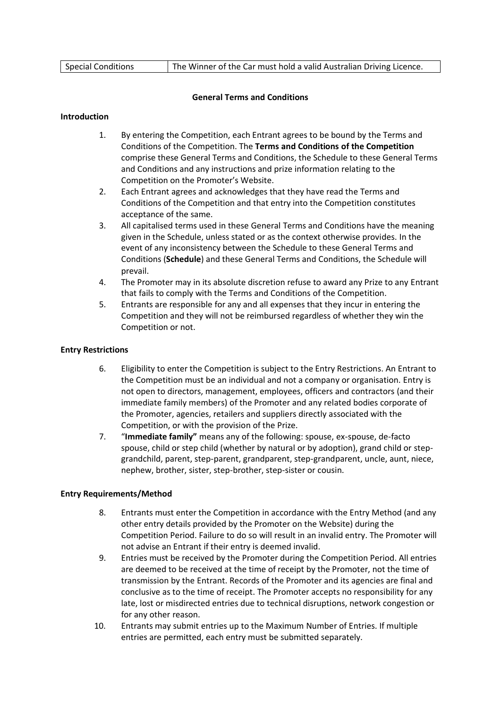## **General Terms and Conditions**

#### **Introduction**

- 1. By entering the Competition, each Entrant agrees to be bound by the Terms and Conditions of the Competition. The **Terms and Conditions of the Competition** comprise these General Terms and Conditions, the Schedule to these General Terms and Conditions and any instructions and prize information relating to the Competition on the Promoter's Website.
- 2. Each Entrant agrees and acknowledges that they have read the Terms and Conditions of the Competition and that entry into the Competition constitutes acceptance of the same.
- 3. All capitalised terms used in these General Terms and Conditions have the meaning given in the Schedule, unless stated or as the context otherwise provides. In the event of any inconsistency between the Schedule to these General Terms and Conditions (**Schedule**) and these General Terms and Conditions, the Schedule will prevail.
- 4. The Promoter may in its absolute discretion refuse to award any Prize to any Entrant that fails to comply with the Terms and Conditions of the Competition.
- 5. Entrants are responsible for any and all expenses that they incur in entering the Competition and they will not be reimbursed regardless of whether they win the Competition or not.

## **Entry Restrictions**

- 6. Eligibility to enter the Competition is subject to the Entry Restrictions. An Entrant to the Competition must be an individual and not a company or organisation. Entry is not open to directors, management, employees, officers and contractors (and their immediate family members) of the Promoter and any related bodies corporate of the Promoter, agencies, retailers and suppliers directly associated with the Competition, or with the provision of the Prize.
- 7. "**Immediate family"** means any of the following: spouse, ex-spouse, de-facto spouse, child or step child (whether by natural or by adoption), grand child or stepgrandchild, parent, step-parent, grandparent, step-grandparent, uncle, aunt, niece, nephew, brother, sister, step-brother, step-sister or cousin.

#### **Entry Requirements/Method**

- 8. Entrants must enter the Competition in accordance with the Entry Method (and any other entry details provided by the Promoter on the Website) during the Competition Period. Failure to do so will result in an invalid entry. The Promoter will not advise an Entrant if their entry is deemed invalid.
- 9. Entries must be received by the Promoter during the Competition Period. All entries are deemed to be received at the time of receipt by the Promoter, not the time of transmission by the Entrant. Records of the Promoter and its agencies are final and conclusive as to the time of receipt. The Promoter accepts no responsibility for any late, lost or misdirected entries due to technical disruptions, network congestion or for any other reason.
- 10. Entrants may submit entries up to the Maximum Number of Entries. If multiple entries are permitted, each entry must be submitted separately.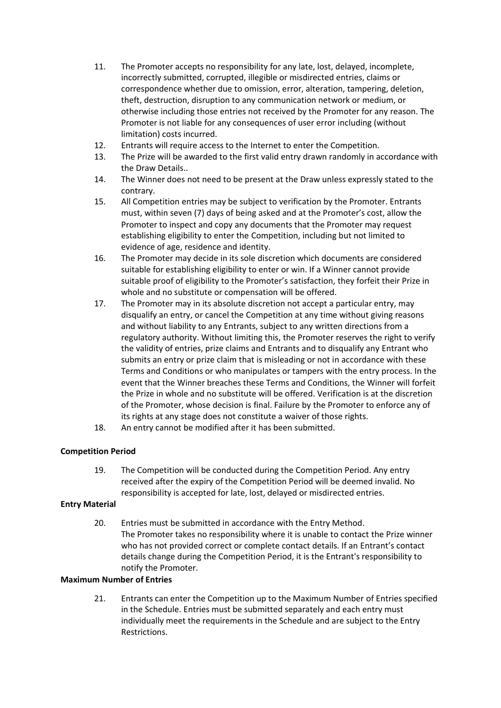- 11. The Promoter accepts no responsibility for any late, lost, delayed, incomplete, incorrectly submitted, corrupted, illegible or misdirected entries, claims or correspondence whether due to omission, error, alteration, tampering, deletion, theft, destruction, disruption to any communication network or medium, or otherwise including those entries not received by the Promoter for any reason. The Promoter is not liable for any consequences of user error including (without limitation) costs incurred.
- 12. Entrants will require access to the Internet to enter the Competition.
- 13. The Prize will be awarded to the first valid entry drawn randomly in accordance with the Draw Details..
- 14. The Winner does not need to be present at the Draw unless expressly stated to the contrary.
- 15. All Competition entries may be subject to verification by the Promoter. Entrants must, within seven (7) days of being asked and at the Promoter's cost, allow the Promoter to inspect and copy any documents that the Promoter may request establishing eligibility to enter the Competition, including but not limited to evidence of age, residence and identity.
- 16. The Promoter may decide in its sole discretion which documents are considered suitable for establishing eligibility to enter or win. If a Winner cannot provide suitable proof of eligibility to the Promoter's satisfaction, they forfeit their Prize in whole and no substitute or compensation will be offered.
- 17. The Promoter may in its absolute discretion not accept a particular entry, may disqualify an entry, or cancel the Competition at any time without giving reasons and without liability to any Entrants, subject to any written directions from a regulatory authority. Without limiting this, the Promoter reserves the right to verify the validity of entries, prize claims and Entrants and to disqualify any Entrant who submits an entry or prize claim that is misleading or not in accordance with these Terms and Conditions or who manipulates or tampers with the entry process. In the event that the Winner breaches these Terms and Conditions, the Winner will forfeit the Prize in whole and no substitute will be offered. Verification is at the discretion of the Promoter, whose decision is final. Failure by the Promoter to enforce any of its rights at any stage does not constitute a waiver of those rights.
- 18. An entry cannot be modified after it has been submitted.

## **Competition Period**

19. The Competition will be conducted during the Competition Period. Any entry received after the expiry of the Competition Period will be deemed invalid. No responsibility is accepted for late, lost, delayed or misdirected entries.

#### **Entry Material**

20. Entries must be submitted in accordance with the Entry Method. The Promoter takes no responsibility where it is unable to contact the Prize winner who has not provided correct or complete contact details. If an Entrant's contact details change during the Competition Period, it is the Entrant's responsibility to notify the Promoter.

### **Maximum Number of Entries**

21. Entrants can enter the Competition up to the Maximum Number of Entries specified in the Schedule. Entries must be submitted separately and each entry must individually meet the requirements in the Schedule and are subject to the Entry Restrictions.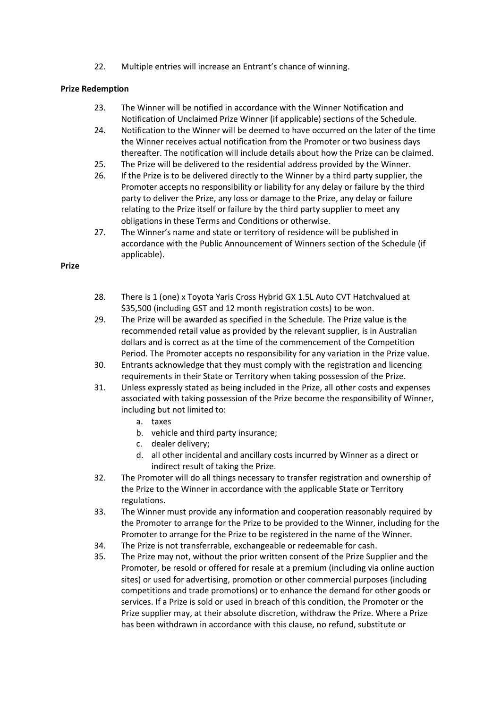22. Multiple entries will increase an Entrant's chance of winning.

## **Prize Redemption**

- 23. The Winner will be notified in accordance with the Winner Notification and Notification of Unclaimed Prize Winner (if applicable) sections of the Schedule.
- 24. Notification to the Winner will be deemed to have occurred on the later of the time the Winner receives actual notification from the Promoter or two business days thereafter. The notification will include details about how the Prize can be claimed.
- 25. The Prize will be delivered to the residential address provided by the Winner.
- 26. If the Prize is to be delivered directly to the Winner by a third party supplier, the Promoter accepts no responsibility or liability for any delay or failure by the third party to deliver the Prize, any loss or damage to the Prize, any delay or failure relating to the Prize itself or failure by the third party supplier to meet any obligations in these Terms and Conditions or otherwise.
- 27. The Winner's name and state or territory of residence will be published in accordance with the Public Announcement of Winners section of the Schedule (if applicable).

#### **Prize**

- 28. There is 1 (one) x Toyota Yaris Cross Hybrid GX 1.5L Auto CVT Hatchvalued at \$35,500 (including GST and 12 month registration costs) to be won.
- 29. The Prize will be awarded as specified in the Schedule. The Prize value is the recommended retail value as provided by the relevant supplier, is in Australian dollars and is correct as at the time of the commencement of the Competition Period. The Promoter accepts no responsibility for any variation in the Prize value.
- 30. Entrants acknowledge that they must comply with the registration and licencing requirements in their State or Territory when taking possession of the Prize.
- 31. Unless expressly stated as being included in the Prize, all other costs and expenses associated with taking possession of the Prize become the responsibility of Winner, including but not limited to:
	- a. taxes
	- b. vehicle and third party insurance;
	- c. dealer delivery;
	- d. all other incidental and ancillary costs incurred by Winner as a direct or indirect result of taking the Prize.
- 32. The Promoter will do all things necessary to transfer registration and ownership of the Prize to the Winner in accordance with the applicable State or Territory regulations.
- 33. The Winner must provide any information and cooperation reasonably required by the Promoter to arrange for the Prize to be provided to the Winner, including for the Promoter to arrange for the Prize to be registered in the name of the Winner.
- 34. The Prize is not transferrable, exchangeable or redeemable for cash.
- 35. The Prize may not, without the prior written consent of the Prize Supplier and the Promoter, be resold or offered for resale at a premium (including via online auction sites) or used for advertising, promotion or other commercial purposes (including competitions and trade promotions) or to enhance the demand for other goods or services. If a Prize is sold or used in breach of this condition, the Promoter or the Prize supplier may, at their absolute discretion, withdraw the Prize. Where a Prize has been withdrawn in accordance with this clause, no refund, substitute or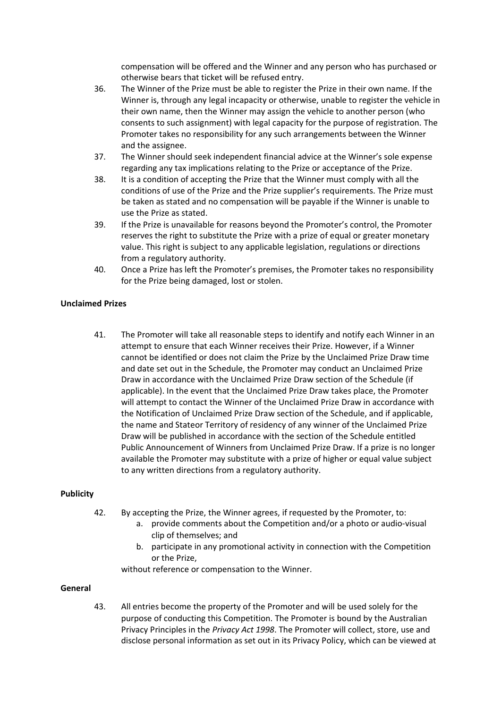compensation will be offered and the Winner and any person who has purchased or otherwise bears that ticket will be refused entry.

- 36. The Winner of the Prize must be able to register the Prize in their own name. If the Winner is, through any legal incapacity or otherwise, unable to register the vehicle in their own name, then the Winner may assign the vehicle to another person (who consents to such assignment) with legal capacity for the purpose of registration. The Promoter takes no responsibility for any such arrangements between the Winner and the assignee.
- 37. The Winner should seek independent financial advice at the Winner's sole expense regarding any tax implications relating to the Prize or acceptance of the Prize.
- 38. It is a condition of accepting the Prize that the Winner must comply with all the conditions of use of the Prize and the Prize supplier's requirements. The Prize must be taken as stated and no compensation will be payable if the Winner is unable to use the Prize as stated.
- 39. If the Prize is unavailable for reasons beyond the Promoter's control, the Promoter reserves the right to substitute the Prize with a prize of equal or greater monetary value. This right is subject to any applicable legislation, regulations or directions from a regulatory authority.
- 40. Once a Prize has left the Promoter's premises, the Promoter takes no responsibility for the Prize being damaged, lost or stolen.

## **Unclaimed Prizes**

41. The Promoter will take all reasonable steps to identify and notify each Winner in an attempt to ensure that each Winner receives their Prize. However, if a Winner cannot be identified or does not claim the Prize by the Unclaimed Prize Draw time and date set out in the Schedule, the Promoter may conduct an Unclaimed Prize Draw in accordance with the Unclaimed Prize Draw section of the Schedule (if applicable). In the event that the Unclaimed Prize Draw takes place, the Promoter will attempt to contact the Winner of the Unclaimed Prize Draw in accordance with the Notification of Unclaimed Prize Draw section of the Schedule, and if applicable, the name and Stateor Territory of residency of any winner of the Unclaimed Prize Draw will be published in accordance with the section of the Schedule entitled Public Announcement of Winners from Unclaimed Prize Draw. If a prize is no longer available the Promoter may substitute with a prize of higher or equal value subject to any written directions from a regulatory authority.

#### **Publicity**

- 42. By accepting the Prize, the Winner agrees, if requested by the Promoter, to:
	- a. provide comments about the Competition and/or a photo or audio-visual clip of themselves; and
	- b. participate in any promotional activity in connection with the Competition or the Prize,

without reference or compensation to the Winner.

#### **General**

43. All entries become the property of the Promoter and will be used solely for the purpose of conducting this Competition. The Promoter is bound by the Australian Privacy Principles in the *Privacy Act 1998*. The Promoter will collect, store, use and disclose personal information as set out in its Privacy Policy, which can be viewed at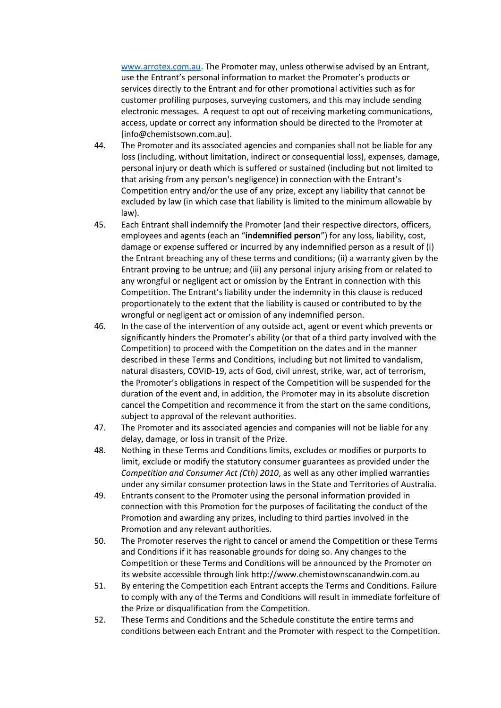[www.arrotex.com.au.](http://www.arrotex.com.au/) The Promoter may, unless otherwise advised by an Entrant, use the Entrant's personal information to market the Promoter's products or services directly to the Entrant and for other promotional activities such as for customer profiling purposes, surveying customers, and this may include sending electronic messages. A request to opt out of receiving marketing communications, access, update or correct any information should be directed to the Promoter at [info@chemistsown.com.au].

- 44. The Promoter and its associated agencies and companies shall not be liable for any loss (including, without limitation, indirect or consequential loss), expenses, damage, personal injury or death which is suffered or sustained (including but not limited to that arising from any person's negligence) in connection with the Entrant's Competition entry and/or the use of any prize, except any liability that cannot be excluded by law (in which case that liability is limited to the minimum allowable by law).
- 45. Each Entrant shall indemnify the Promoter (and their respective directors, officers, employees and agents (each an "**indemnified person**") for any loss, liability, cost, damage or expense suffered or incurred by any indemnified person as a result of (i) the Entrant breaching any of these terms and conditions; (ii) a warranty given by the Entrant proving to be untrue; and (iii) any personal injury arising from or related to any wrongful or negligent act or omission by the Entrant in connection with this Competition. The Entrant's liability under the indemnity in this clause is reduced proportionately to the extent that the liability is caused or contributed to by the wrongful or negligent act or omission of any indemnified person.
- 46. In the case of the intervention of any outside act, agent or event which prevents or significantly hinders the Promoter's ability (or that of a third party involved with the Competition) to proceed with the Competition on the dates and in the manner described in these Terms and Conditions, including but not limited to vandalism, natural disasters, COVID-19, acts of God, civil unrest, strike, war, act of terrorism, the Promoter's obligations in respect of the Competition will be suspended for the duration of the event and, in addition, the Promoter may in its absolute discretion cancel the Competition and recommence it from the start on the same conditions, subject to approval of the relevant authorities.
- 47. The Promoter and its associated agencies and companies will not be liable for any delay, damage, or loss in transit of the Prize.
- 48. Nothing in these Terms and Conditions limits, excludes or modifies or purports to limit, exclude or modify the statutory consumer guarantees as provided under the *Competition and Consumer Act (Cth) 2010*, as well as any other implied warranties under any similar consumer protection laws in the State and Territories of Australia.
- 49. Entrants consent to the Promoter using the personal information provided in connection with this Promotion for the purposes of facilitating the conduct of the Promotion and awarding any prizes, including to third parties involved in the Promotion and any relevant authorities.
- 50. The Promoter reserves the right to cancel or amend the Competition or these Terms and Conditions if it has reasonable grounds for doing so. Any changes to the Competition or these Terms and Conditions will be announced by the Promoter on its website accessible through link http://www.chemistownscanandwin.com.au
- 51. By entering the Competition each Entrant accepts the Terms and Conditions. Failure to comply with any of the Terms and Conditions will result in immediate forfeiture of the Prize or disqualification from the Competition.
- 52. These Terms and Conditions and the Schedule constitute the entire terms and conditions between each Entrant and the Promoter with respect to the Competition.